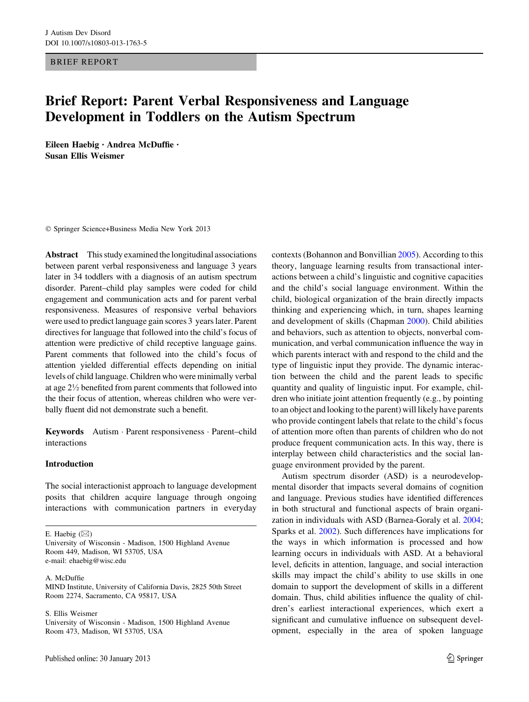BRIEF REPORT

# Brief Report: Parent Verbal Responsiveness and Language Development in Toddlers on the Autism Spectrum

Eileen Haebig • Andrea McDuffie • Susan Ellis Weismer

- Springer Science+Business Media New York 2013

Abstract This study examined the longitudinal associations between parent verbal responsiveness and language 3 years later in 34 toddlers with a diagnosis of an autism spectrum disorder. Parent–child play samples were coded for child engagement and communication acts and for parent verbal responsiveness. Measures of responsive verbal behaviors were used to predict language gain scores 3 years later. Parent directives for language that followed into the child's focus of attention were predictive of child receptive language gains. Parent comments that followed into the child's focus of attention yielded differential effects depending on initial levels of child language. Children who were minimally verbal at age 2<sup>1</sup>/<sub>2</sub> benefited from parent comments that followed into the their focus of attention, whereas children who were verbally fluent did not demonstrate such a benefit.

Keywords Parent responsiveness - Parent–child interactions

## Introduction

The social interactionist approach to language development posits that children acquire language through ongoing interactions with communication partners in everyday

E. Haebig  $(\boxtimes)$ 

A. McDuffie MIND Institute, University of California Davis, 2825 50th Street Room 2274, Sacramento, CA 95817, USA

S. Ellis Weismer University of Wisconsin - Madison, 1500 Highland Avenue

Room 473, Madison, WI 53705, USA

contexts (Bohannon and Bonvillian [2005](#page-8-0)). According to this theory, language learning results from transactional interactions between a child's linguistic and cognitive capacities and the child's social language environment. Within the child, biological organization of the brain directly impacts thinking and experiencing which, in turn, shapes learning and development of skills (Chapman [2000](#page-8-0)). Child abilities and behaviors, such as attention to objects, nonverbal communication, and verbal communication influence the way in which parents interact with and respond to the child and the type of linguistic input they provide. The dynamic interaction between the child and the parent leads to specific quantity and quality of linguistic input. For example, children who initiate joint attention frequently (e.g., by pointing to an object and looking to the parent) will likely have parents who provide contingent labels that relate to the child's focus of attention more often than parents of children who do not produce frequent communication acts. In this way, there is interplay between child characteristics and the social language environment provided by the parent.

Autism spectrum disorder (ASD) is a neurodevelopmental disorder that impacts several domains of cognition and language. Previous studies have identified differences in both structural and functional aspects of brain organization in individuals with ASD (Barnea-Goraly et al. [2004](#page-8-0); Sparks et al. [2002](#page-8-0)). Such differences have implications for the ways in which information is processed and how learning occurs in individuals with ASD. At a behavioral level, deficits in attention, language, and social interaction skills may impact the child's ability to use skills in one domain to support the development of skills in a different domain. Thus, child abilities influence the quality of children's earliest interactional experiences, which exert a significant and cumulative influence on subsequent development, especially in the area of spoken language

University of Wisconsin - Madison, 1500 Highland Avenue Room 449, Madison, WI 53705, USA e-mail: ehaebig@wisc.edu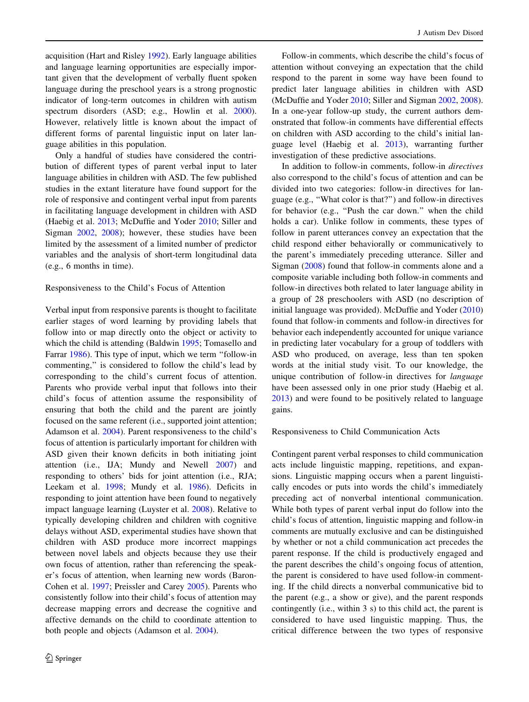acquisition (Hart and Risley [1992](#page-8-0)). Early language abilities and language learning opportunities are especially important given that the development of verbally fluent spoken language during the preschool years is a strong prognostic indicator of long-term outcomes in children with autism spectrum disorders (ASD; e.g., Howlin et al. [2000](#page-8-0)). However, relatively little is known about the impact of different forms of parental linguistic input on later language abilities in this population.

Only a handful of studies have considered the contribution of different types of parent verbal input to later language abilities in children with ASD. The few published studies in the extant literature have found support for the role of responsive and contingent verbal input from parents in facilitating language development in children with ASD (Haebig et al. [2013;](#page-8-0) McDuffie and Yoder [2010;](#page-8-0) Siller and Sigman [2002,](#page-8-0) [2008](#page-8-0)); however, these studies have been limited by the assessment of a limited number of predictor variables and the analysis of short-term longitudinal data (e.g., 6 months in time).

### Responsiveness to the Child's Focus of Attention

Verbal input from responsive parents is thought to facilitate earlier stages of word learning by providing labels that follow into or map directly onto the object or activity to which the child is attending (Baldwin [1995](#page-8-0); Tomasello and Farrar [1986](#page-9-0)). This type of input, which we term ''follow-in commenting,'' is considered to follow the child's lead by corresponding to the child's current focus of attention. Parents who provide verbal input that follows into their child's focus of attention assume the responsibility of ensuring that both the child and the parent are jointly focused on the same referent (i.e., supported joint attention; Adamson et al. [2004](#page-8-0)). Parent responsiveness to the child's focus of attention is particularly important for children with ASD given their known deficits in both initiating joint attention (i.e., IJA; Mundy and Newell [2007](#page-8-0)) and responding to others' bids for joint attention (i.e., RJA; Leekam et al. [1998;](#page-8-0) Mundy et al. [1986](#page-8-0)). Deficits in responding to joint attention have been found to negatively impact language learning (Luyster et al. [2008](#page-8-0)). Relative to typically developing children and children with cognitive delays without ASD, experimental studies have shown that children with ASD produce more incorrect mappings between novel labels and objects because they use their own focus of attention, rather than referencing the speaker's focus of attention, when learning new words (Baron-Cohen et al. [1997](#page-8-0); Preissler and Carey [2005\)](#page-8-0). Parents who consistently follow into their child's focus of attention may decrease mapping errors and decrease the cognitive and affective demands on the child to coordinate attention to both people and objects (Adamson et al. [2004](#page-8-0)).

Follow-in comments, which describe the child's focus of attention without conveying an expectation that the child respond to the parent in some way have been found to predict later language abilities in children with ASD (McDuffie and Yoder [2010;](#page-8-0) Siller and Sigman [2002,](#page-8-0) [2008](#page-8-0)). In a one-year follow-up study, the current authors demonstrated that follow-in comments have differential effects on children with ASD according to the child's initial language level (Haebig et al. [2013\)](#page-8-0), warranting further investigation of these predictive associations.

In addition to follow-in comments, follow-in directives also correspond to the child's focus of attention and can be divided into two categories: follow-in directives for language (e.g., ''What color is that?'') and follow-in directives for behavior (e.g., ''Push the car down.'' when the child holds a car). Unlike follow in comments, these types of follow in parent utterances convey an expectation that the child respond either behaviorally or communicatively to the parent's immediately preceding utterance. Siller and Sigman ([2008\)](#page-8-0) found that follow-in comments alone and a composite variable including both follow-in comments and follow-in directives both related to later language ability in a group of 28 preschoolers with ASD (no description of initial language was provided). McDuffie and Yoder ([2010\)](#page-8-0) found that follow-in comments and follow-in directives for behavior each independently accounted for unique variance in predicting later vocabulary for a group of toddlers with ASD who produced, on average, less than ten spoken words at the initial study visit. To our knowledge, the unique contribution of follow-in directives for language have been assessed only in one prior study (Haebig et al. [2013](#page-8-0)) and were found to be positively related to language gains.

#### Responsiveness to Child Communication Acts

Contingent parent verbal responses to child communication acts include linguistic mapping, repetitions, and expansions. Linguistic mapping occurs when a parent linguistically encodes or puts into words the child's immediately preceding act of nonverbal intentional communication. While both types of parent verbal input do follow into the child's focus of attention, linguistic mapping and follow-in comments are mutually exclusive and can be distinguished by whether or not a child communication act precedes the parent response. If the child is productively engaged and the parent describes the child's ongoing focus of attention, the parent is considered to have used follow-in commenting. If the child directs a nonverbal communicative bid to the parent (e.g., a show or give), and the parent responds contingently (i.e., within 3 s) to this child act, the parent is considered to have used linguistic mapping. Thus, the critical difference between the two types of responsive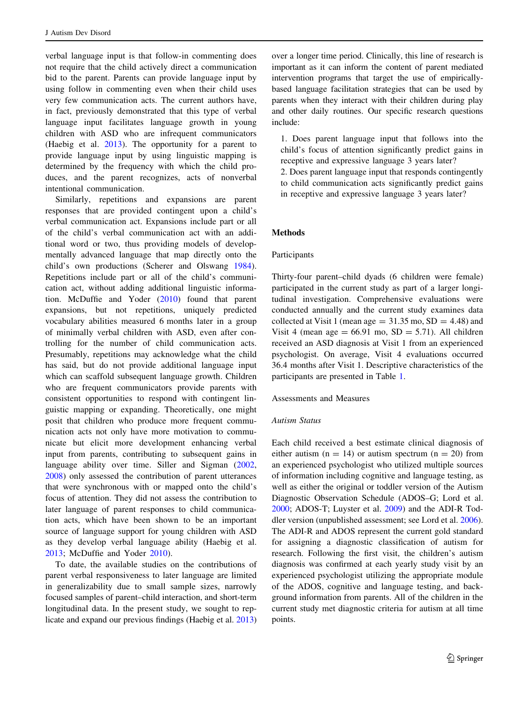verbal language input is that follow-in commenting does not require that the child actively direct a communication bid to the parent. Parents can provide language input by using follow in commenting even when their child uses very few communication acts. The current authors have, in fact, previously demonstrated that this type of verbal language input facilitates language growth in young children with ASD who are infrequent communicators (Haebig et al. [2013\)](#page-8-0). The opportunity for a parent to provide language input by using linguistic mapping is determined by the frequency with which the child produces, and the parent recognizes, acts of nonverbal intentional communication.

Similarly, repetitions and expansions are parent responses that are provided contingent upon a child's verbal communication act. Expansions include part or all of the child's verbal communication act with an additional word or two, thus providing models of developmentally advanced language that map directly onto the child's own productions (Scherer and Olswang [1984](#page-8-0)). Repetitions include part or all of the child's communication act, without adding additional linguistic information. McDuffie and Yoder [\(2010](#page-8-0)) found that parent expansions, but not repetitions, uniquely predicted vocabulary abilities measured 6 months later in a group of minimally verbal children with ASD, even after controlling for the number of child communication acts. Presumably, repetitions may acknowledge what the child has said, but do not provide additional language input which can scaffold subsequent language growth. Children who are frequent communicators provide parents with consistent opportunities to respond with contingent linguistic mapping or expanding. Theoretically, one might posit that children who produce more frequent communication acts not only have more motivation to communicate but elicit more development enhancing verbal input from parents, contributing to subsequent gains in language ability over time. Siller and Sigman ([2002,](#page-8-0) [2008\)](#page-8-0) only assessed the contribution of parent utterances that were synchronous with or mapped onto the child's focus of attention. They did not assess the contribution to later language of parent responses to child communication acts, which have been shown to be an important source of language support for young children with ASD as they develop verbal language ability (Haebig et al. [2013;](#page-8-0) McDuffie and Yoder [2010\)](#page-8-0).

To date, the available studies on the contributions of parent verbal responsiveness to later language are limited in generalizability due to small sample sizes, narrowly focused samples of parent–child interaction, and short-term longitudinal data. In the present study, we sought to replicate and expand our previous findings (Haebig et al. [2013\)](#page-8-0)

over a longer time period. Clinically, this line of research is important as it can inform the content of parent mediated intervention programs that target the use of empiricallybased language facilitation strategies that can be used by parents when they interact with their children during play and other daily routines. Our specific research questions include:

1. Does parent language input that follows into the child's focus of attention significantly predict gains in receptive and expressive language 3 years later?

2. Does parent language input that responds contingently to child communication acts significantly predict gains in receptive and expressive language 3 years later?

# Methods

#### Participants

Thirty-four parent–child dyads (6 children were female) participated in the current study as part of a larger longitudinal investigation. Comprehensive evaluations were conducted annually and the current study examines data collected at Visit 1 (mean age  $= 31.35$  mo,  $SD = 4.48$ ) and Visit 4 (mean age  $= 66.91$  mo,  $SD = 5.71$ ). All children received an ASD diagnosis at Visit 1 from an experienced psychologist. On average, Visit 4 evaluations occurred 36.4 months after Visit 1. Descriptive characteristics of the participants are presented in Table [1](#page-3-0).

### Assessments and Measures

### Autism Status

Each child received a best estimate clinical diagnosis of either autism ( $n = 14$ ) or autism spectrum ( $n = 20$ ) from an experienced psychologist who utilized multiple sources of information including cognitive and language testing, as well as either the original or toddler version of the Autism Diagnostic Observation Schedule (ADOS–G; Lord et al. [2000](#page-8-0); ADOS-T; Luyster et al. [2009](#page-8-0)) and the ADI-R Toddler version (unpublished assessment; see Lord et al. [2006](#page-8-0)). The ADI-R and ADOS represent the current gold standard for assigning a diagnostic classification of autism for research. Following the first visit, the children's autism diagnosis was confirmed at each yearly study visit by an experienced psychologist utilizing the appropriate module of the ADOS, cognitive and language testing, and background information from parents. All of the children in the current study met diagnostic criteria for autism at all time points.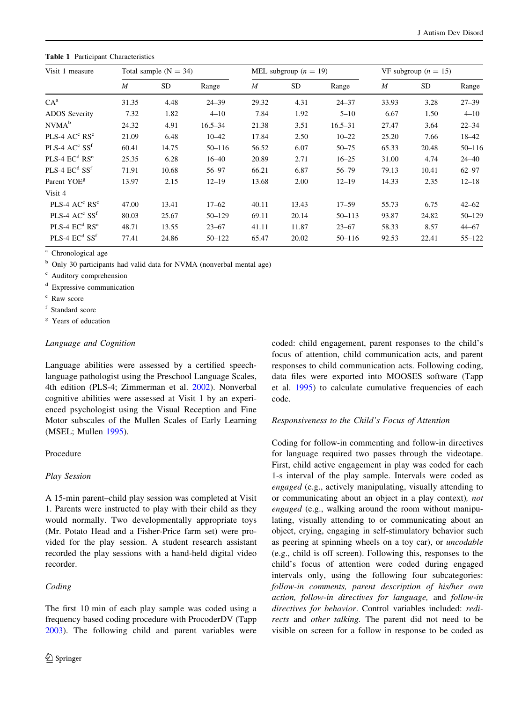| Visit 1 measure                       | Total sample $(N = 34)$ |       |             | MEL subgroup ( $n = 19$ ) |           |             | VF subgroup $(n = 15)$ |           |            |
|---------------------------------------|-------------------------|-------|-------------|---------------------------|-----------|-------------|------------------------|-----------|------------|
|                                       | $\boldsymbol{M}$        | SD    | Range       | $\boldsymbol{M}$          | <b>SD</b> | Range       | $\boldsymbol{M}$       | <b>SD</b> | Range      |
| CA <sup>a</sup>                       | 31.35                   | 4.48  | $24 - 39$   | 29.32                     | 4.31      | $24 - 37$   | 33.93                  | 3.28      | $27 - 39$  |
| <b>ADOS</b> Severity                  | 7.32                    | 1.82  | $4 - 10$    | 7.84                      | 1.92      | $5 - 10$    | 6.67                   | 1.50      | $4 - 10$   |
| NVMA <sup>b</sup>                     | 24.32                   | 4.91  | $16.5 - 34$ | 21.38                     | 3.51      | $16.5 - 31$ | 27.47                  | 3.64      | $22 - 34$  |
| PLS-4 AC <sup>c</sup> RS <sup>e</sup> | 21.09                   | 6.48  | $10 - 42$   | 17.84                     | 2.50      | $10 - 22$   | 25.20                  | 7.66      | $18 - 42$  |
| PLS-4 $AC^c$ SS <sup>f</sup>          | 60.41                   | 14.75 | $50 - 116$  | 56.52                     | 6.07      | $50 - 75$   | 65.33                  | 20.48     | $50 - 116$ |
| PLS-4 EC <sup>d</sup> RS <sup>e</sup> | 25.35                   | 6.28  | $16 - 40$   | 20.89                     | 2.71      | $16 - 25$   | 31.00                  | 4.74      | $24 - 40$  |
| $PLS-4 ECd SSf$                       | 71.91                   | 10.68 | 56-97       | 66.21                     | 6.87      | $56 - 79$   | 79.13                  | 10.41     | $62 - 97$  |
| Parent YOE <sup>g</sup>               | 13.97                   | 2.15  | $12 - 19$   | 13.68                     | 2.00      | $12 - 19$   | 14.33                  | 2.35      | $12 - 18$  |
| Visit 4                               |                         |       |             |                           |           |             |                        |           |            |
| $PLS-4 ACc RSe$                       | 47.00                   | 13.41 | $17 - 62$   | 40.11                     | 13.43     | $17 - 59$   | 55.73                  | 6.75      | $42 - 62$  |
| $PLS-4 ACc SSt$                       | 80.03                   | 25.67 | $50 - 129$  | 69.11                     | 20.14     | $50 - 113$  | 93.87                  | 24.82     | $50 - 129$ |
| $PLS-4 ECd RSe$                       | 48.71                   | 13.55 | $23 - 67$   | 41.11                     | 11.87     | $23 - 67$   | 58.33                  | 8.57      | $44 - 67$  |
| $PLS-4 ECd SSf$                       | 77.41                   | 24.86 | 50-122      | 65.47                     | 20.02     | $50 - 116$  | 92.53                  | 22.41     | $55 - 122$ |

<span id="page-3-0"></span>Table 1 Participant Characteristics

Chronological age

 $<sup>b</sup>$  Only 30 participants had valid data for NVMA (nonverbal mental age)</sup>

<sup>c</sup> Auditory comprehension

<sup>d</sup> Expressive communication

<sup>e</sup> Raw score

<sup>f</sup> Standard score

<sup>g</sup> Years of education

# Language and Cognition

Language abilities were assessed by a certified speechlanguage pathologist using the Preschool Language Scales, 4th edition (PLS-4; Zimmerman et al. [2002\)](#page-9-0). Nonverbal cognitive abilities were assessed at Visit 1 by an experienced psychologist using the Visual Reception and Fine Motor subscales of the Mullen Scales of Early Learning (MSEL; Mullen [1995](#page-8-0)).

# Procedure

# Play Session

A 15-min parent–child play session was completed at Visit 1. Parents were instructed to play with their child as they would normally. Two developmentally appropriate toys (Mr. Potato Head and a Fisher-Price farm set) were provided for the play session. A student research assistant recorded the play sessions with a hand-held digital video recorder.

# Coding

The first 10 min of each play sample was coded using a frequency based coding procedure with ProcoderDV (Tapp [2003\)](#page-9-0). The following child and parent variables were coded: child engagement, parent responses to the child's focus of attention, child communication acts, and parent responses to child communication acts. Following coding, data files were exported into MOOSES software (Tapp et al. [1995](#page-9-0)) to calculate cumulative frequencies of each code.

# Responsiveness to the Child's Focus of Attention

Coding for follow-in commenting and follow-in directives for language required two passes through the videotape. First, child active engagement in play was coded for each 1-s interval of the play sample. Intervals were coded as engaged (e.g., actively manipulating, visually attending to or communicating about an object in a play context), not engaged (e.g., walking around the room without manipulating, visually attending to or communicating about an object, crying, engaging in self-stimulatory behavior such as peering at spinning wheels on a toy car), or uncodable (e.g., child is off screen). Following this, responses to the child's focus of attention were coded during engaged intervals only, using the following four subcategories: follow-in comments, parent description of his/her own action, follow-in directives for language, and follow-in directives for behavior. Control variables included: redirects and other talking. The parent did not need to be visible on screen for a follow in response to be coded as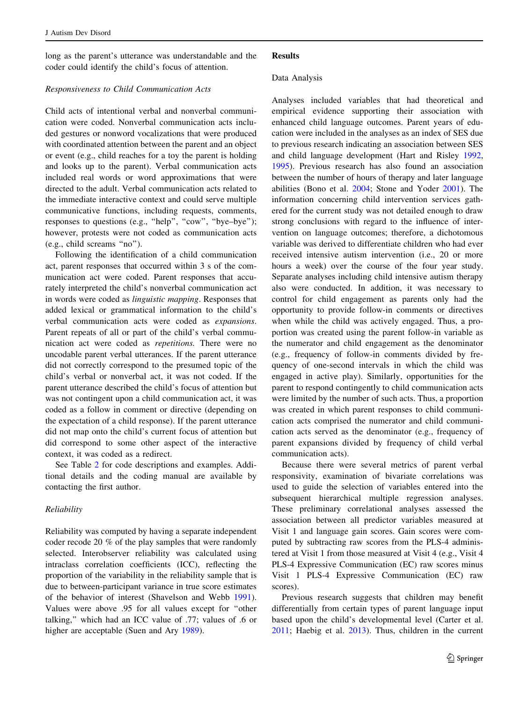long as the parent's utterance was understandable and the coder could identify the child's focus of attention.

#### Responsiveness to Child Communication Acts

Child acts of intentional verbal and nonverbal communication were coded. Nonverbal communication acts included gestures or nonword vocalizations that were produced with coordinated attention between the parent and an object or event (e.g., child reaches for a toy the parent is holding and looks up to the parent). Verbal communication acts included real words or word approximations that were directed to the adult. Verbal communication acts related to the immediate interactive context and could serve multiple communicative functions, including requests, comments, responses to questions (e.g., "help", "cow", "bye–bye"); however, protests were not coded as communication acts (e.g., child screams ''no'').

Following the identification of a child communication act, parent responses that occurred within 3 s of the communication act were coded. Parent responses that accurately interpreted the child's nonverbal communication act in words were coded as linguistic mapping. Responses that added lexical or grammatical information to the child's verbal communication acts were coded as expansions. Parent repeats of all or part of the child's verbal communication act were coded as repetitions. There were no uncodable parent verbal utterances. If the parent utterance did not correctly correspond to the presumed topic of the child's verbal or nonverbal act, it was not coded. If the parent utterance described the child's focus of attention but was not contingent upon a child communication act, it was coded as a follow in comment or directive (depending on the expectation of a child response). If the parent utterance did not map onto the child's current focus of attention but did correspond to some other aspect of the interactive context, it was coded as a redirect.

See Table [2](#page-5-0) for code descriptions and examples. Additional details and the coding manual are available by contacting the first author.

### Reliability

Reliability was computed by having a separate independent coder recode 20 % of the play samples that were randomly selected. Interobserver reliability was calculated using intraclass correlation coefficients (ICC), reflecting the proportion of the variability in the reliability sample that is due to between-participant variance in true score estimates of the behavior of interest (Shavelson and Webb [1991](#page-8-0)). Values were above .95 for all values except for ''other talking,'' which had an ICC value of .77; values of .6 or higher are acceptable (Suen and Ary [1989](#page-9-0)).

#### **Results**

### Data Analysis

Analyses included variables that had theoretical and empirical evidence supporting their association with enhanced child language outcomes. Parent years of education were included in the analyses as an index of SES due to previous research indicating an association between SES and child language development (Hart and Risley [1992,](#page-8-0) [1995](#page-8-0)). Previous research has also found an association between the number of hours of therapy and later language abilities (Bono et al. [2004;](#page-8-0) Stone and Yoder [2001\)](#page-8-0). The information concerning child intervention services gathered for the current study was not detailed enough to draw strong conclusions with regard to the influence of intervention on language outcomes; therefore, a dichotomous variable was derived to differentiate children who had ever received intensive autism intervention (i.e., 20 or more hours a week) over the course of the four year study. Separate analyses including child intensive autism therapy also were conducted. In addition, it was necessary to control for child engagement as parents only had the opportunity to provide follow-in comments or directives when while the child was actively engaged. Thus, a proportion was created using the parent follow-in variable as the numerator and child engagement as the denominator (e.g., frequency of follow-in comments divided by frequency of one-second intervals in which the child was engaged in active play). Similarly, opportunities for the parent to respond contingently to child communication acts were limited by the number of such acts. Thus, a proportion was created in which parent responses to child communication acts comprised the numerator and child communication acts served as the denominator (e.g., frequency of parent expansions divided by frequency of child verbal communication acts).

Because there were several metrics of parent verbal responsivity, examination of bivariate correlations was used to guide the selection of variables entered into the subsequent hierarchical multiple regression analyses. These preliminary correlational analyses assessed the association between all predictor variables measured at Visit 1 and language gain scores. Gain scores were computed by subtracting raw scores from the PLS-4 administered at Visit 1 from those measured at Visit 4 (e.g., Visit 4 PLS-4 Expressive Communication (EC) raw scores minus Visit 1 PLS-4 Expressive Communication (EC) raw scores).

Previous research suggests that children may benefit differentially from certain types of parent language input based upon the child's developmental level (Carter et al. [2011](#page-8-0); Haebig et al. [2013\)](#page-8-0). Thus, children in the current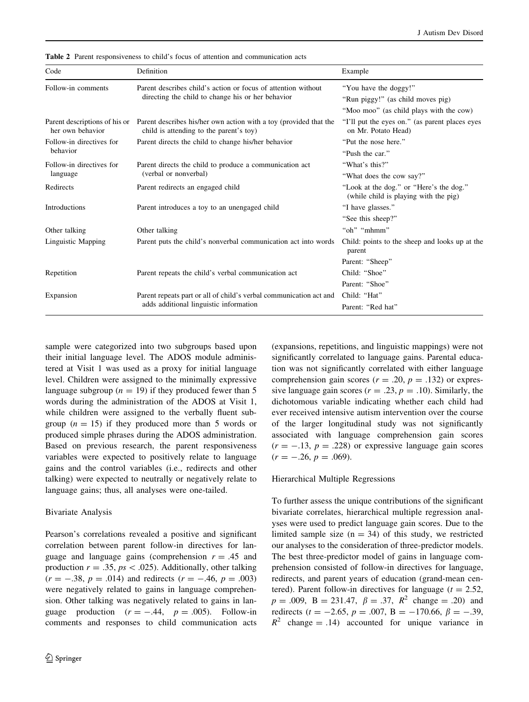| Code                                              | Definition                                                                                                         | Example                                                                          |  |  |
|---------------------------------------------------|--------------------------------------------------------------------------------------------------------------------|----------------------------------------------------------------------------------|--|--|
| Follow-in comments                                | Parent describes child's action or focus of attention without<br>directing the child to change his or her behavior | "You have the doggy!"<br>"Run piggy!" (as child moves pig)                       |  |  |
|                                                   |                                                                                                                    | "Moo moo" (as child plays with the cow)                                          |  |  |
| Parent descriptions of his or<br>her own behavior | Parent describes his/her own action with a toy (provided that the<br>child is attending to the parent's toy)       | "I'll put the eyes on." (as parent places eyes<br>on Mr. Potato Head)            |  |  |
| Follow-in directives for                          | Parent directs the child to change his/her behavior                                                                | "Put the nose here."                                                             |  |  |
| behavior                                          |                                                                                                                    | "Push the car."                                                                  |  |  |
| Follow-in directives for                          | Parent directs the child to produce a communication act                                                            | "What's this?"                                                                   |  |  |
| language                                          | (verbal or nonverbal)                                                                                              | "What does the cow say?"                                                         |  |  |
| Redirects                                         | Parent redirects an engaged child                                                                                  | "Look at the dog." or "Here's the dog."<br>(while child is playing with the pig) |  |  |
| Introductions                                     | Parent introduces a toy to an unengaged child                                                                      | "I have glasses."                                                                |  |  |
|                                                   |                                                                                                                    | "See this sheep?"                                                                |  |  |
| Other talking                                     | Other talking                                                                                                      | "oh" "mhmm"                                                                      |  |  |
| Linguistic Mapping                                | Parent puts the child's nonverbal communication act into words                                                     | Child: points to the sheep and looks up at the<br>parent                         |  |  |
|                                                   |                                                                                                                    | Parent: "Sheep"                                                                  |  |  |
| Repetition                                        | Parent repeats the child's verbal communication act                                                                | Child: "Shoe"                                                                    |  |  |
|                                                   |                                                                                                                    | Parent: "Shoe"                                                                   |  |  |
| Expansion                                         | Parent repeats part or all of child's verbal communication act and                                                 | Child: "Hat"                                                                     |  |  |
|                                                   | adds additional linguistic information                                                                             | Parent: "Red hat"                                                                |  |  |

<span id="page-5-0"></span>Table 2 Parent responsiveness to child's focus of attention and communication acts

sample were categorized into two subgroups based upon their initial language level. The ADOS module administered at Visit 1 was used as a proxy for initial language level. Children were assigned to the minimally expressive language subgroup ( $n = 19$ ) if they produced fewer than 5 words during the administration of the ADOS at Visit 1, while children were assigned to the verbally fluent subgroup  $(n = 15)$  if they produced more than 5 words or produced simple phrases during the ADOS administration. Based on previous research, the parent responsiveness variables were expected to positively relate to language gains and the control variables (i.e., redirects and other talking) were expected to neutrally or negatively relate to language gains; thus, all analyses were one-tailed.

### Bivariate Analysis

Pearson's correlations revealed a positive and significant correlation between parent follow-in directives for language and language gains (comprehension  $r = .45$  and production  $r = .35$ ,  $ps < .025$ ). Additionally, other talking  $(r = -.38, p = .014)$  and redirects  $(r = -.46, p = .003)$ were negatively related to gains in language comprehension. Other talking was negatively related to gains in language production  $(r = -.44, p = .005)$ . Follow-in comments and responses to child communication acts (expansions, repetitions, and linguistic mappings) were not significantly correlated to language gains. Parental education was not significantly correlated with either language comprehension gain scores ( $r = .20$ ,  $p = .132$ ) or expressive language gain scores ( $r = .23$ ,  $p = .10$ ). Similarly, the dichotomous variable indicating whether each child had ever received intensive autism intervention over the course of the larger longitudinal study was not significantly associated with language comprehension gain scores  $(r = -.13, p = .228)$  or expressive language gain scores  $(r = -.26, p = .069).$ 

### Hierarchical Multiple Regressions

To further assess the unique contributions of the significant bivariate correlates, hierarchical multiple regression analyses were used to predict language gain scores. Due to the limited sample size  $(n = 34)$  of this study, we restricted our analyses to the consideration of three-predictor models. The best three-predictor model of gains in language comprehension consisted of follow-in directives for language, redirects, and parent years of education (grand-mean centered). Parent follow-in directives for language ( $t = 2.52$ ,  $p = .009$ ,  $B = 231.47$ ,  $\beta = .37$ ,  $R^2$  change = .20) and redirects ( $t = -2.65$ ,  $p = .007$ ,  $B = -170.66$ ,  $\beta = -.39$ ,  $R^2$  change = .14) accounted for unique variance in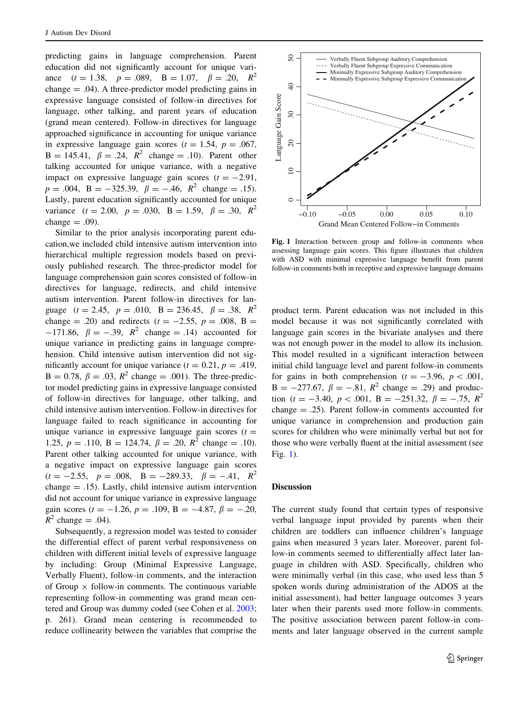predicting gains in language comprehension. Parent education did not significantly account for unique variance  $(t = 1.38, p = .089, B = 1.07, \beta = .20, R^2$ change  $= .04$ ). A three-predictor model predicting gains in expressive language consisted of follow-in directives for language, other talking, and parent years of education (grand mean centered). Follow-in directives for language approached significance in accounting for unique variance in expressive language gain scores  $(t = 1.54, p = .067,$  $B = 145.41, \ \beta = .24, \ \mathbb{R}^2$  change = .10). Parent other talking accounted for unique variance, with a negative impact on expressive language gain scores  $(t = -2.91$ ,  $p = .004$ ,  $B = -325.39$ ,  $\beta = -.46$ ,  $R^2$  change = .15). Lastly, parent education significantly accounted for unique variance  $(t = 2.00, p = .030, B = 1.59, \beta = .30, R^2)$ change  $= .09$ ).

Similar to the prior analysis incorporating parent education,we included child intensive autism intervention into hierarchical multiple regression models based on previously published research. The three-predictor model for language comprehension gain scores consisted of follow-in directives for language, redirects, and child intensive autism intervention. Parent follow-in directives for language  $(t = 2.45, p = .010, B = 236.45, \beta = .38, R^2$ change = .20) and redirects ( $t = -2.55$ ,  $p = .008$ , B =  $-171.86, \ \beta = -.39, \ \mathbb{R}^2 \ \text{change} = .14) \ \text{accounted} \ \text{for}$ unique variance in predicting gains in language comprehension. Child intensive autism intervention did not significantly account for unique variance  $(t = 0.21, p = .419,$  $B = 0.78$ ,  $\beta = .03$ ,  $R^2$  change = .001). The three-predictor model predicting gains in expressive language consisted of follow-in directives for language, other talking, and child intensive autism intervention. Follow-in directives for language failed to reach significance in accounting for unique variance in expressive language gain scores  $(t =$ 1.25,  $p = .110$ ,  $B = 124.74$ ,  $\beta = .20$ ,  $R^2$  change = .10). Parent other talking accounted for unique variance, with a negative impact on expressive language gain scores  $(t = -2.55, p = .008, B = -289.33, \beta = -.41, R^2$ change  $= .15$ ). Lastly, child intensive autism intervention did not account for unique variance in expressive language gain scores ( $t = -1.26$ ,  $p = .109$ ,  $B = -4.87$ ,  $\beta = -.20$ ,  $R^2$  change = .04).

Subsequently, a regression model was tested to consider the differential effect of parent verbal responsiveness on children with different initial levels of expressive language by including: Group (Minimal Expressive Language, Verbally Fluent), follow-in comments, and the interaction of Group  $\times$  follow-in comments. The continuous variable representing follow-in commenting was grand mean centered and Group was dummy coded (see Cohen et al. [2003](#page-8-0); p. 261). Grand mean centering is recommended to reduce collinearity between the variables that comprise the



Fig. 1 Interaction between group and follow-in comments when assessing language gain scores. This figure illustrates that children with ASD with minimal expressive language benefit from parent follow-in comments both in receptive and expressive language domains

product term. Parent education was not included in this model because it was not significantly correlated with language gain scores in the bivariate analyses and there was not enough power in the model to allow its inclusion. This model resulted in a significant interaction between initial child language level and parent follow-in comments for gains in both comprehension ( $t = -3.96$ ,  $p < 0.001$ ,  $B = -277.67$ ,  $\beta = -.81$ ,  $R^2$  change = .29) and production (t = -3.40,  $p < .001$ , B = -251.32,  $\beta$  = -.75,  $R^2$ change = .25). Parent follow-in comments accounted for unique variance in comprehension and production gain scores for children who were minimally verbal but not for those who were verbally fluent at the initial assessment (see Fig. 1).

### Discussion

The current study found that certain types of responsive verbal language input provided by parents when their children are toddlers can influence children's language gains when measured 3 years later. Moreover, parent follow-in comments seemed to differentially affect later language in children with ASD. Specifically, children who were minimally verbal (in this case, who used less than 5 spoken words during administration of the ADOS at the initial assessment), had better language outcomes 3 years later when their parents used more follow-in comments. The positive association between parent follow-in comments and later language observed in the current sample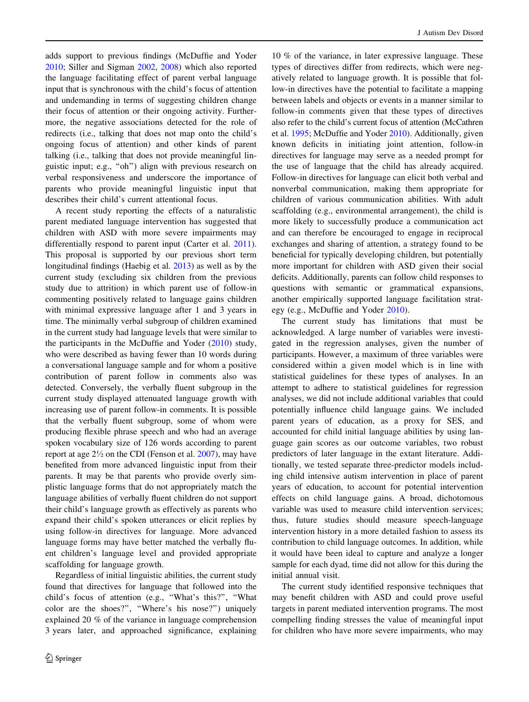adds support to previous findings (McDuffie and Yoder [2010;](#page-8-0) Siller and Sigman [2002,](#page-8-0) [2008](#page-8-0)) which also reported the language facilitating effect of parent verbal language input that is synchronous with the child's focus of attention and undemanding in terms of suggesting children change their focus of attention or their ongoing activity. Furthermore, the negative associations detected for the role of redirects (i.e., talking that does not map onto the child's ongoing focus of attention) and other kinds of parent talking (i.e., talking that does not provide meaningful linguistic input; e.g., ''oh'') align with previous research on verbal responsiveness and underscore the importance of parents who provide meaningful linguistic input that describes their child's current attentional focus.

A recent study reporting the effects of a naturalistic parent mediated language intervention has suggested that children with ASD with more severe impairments may differentially respond to parent input (Carter et al. [2011](#page-8-0)). This proposal is supported by our previous short term longitudinal findings (Haebig et al. [2013](#page-8-0)) as well as by the current study (excluding six children from the previous study due to attrition) in which parent use of follow-in commenting positively related to language gains children with minimal expressive language after 1 and 3 years in time. The minimally verbal subgroup of children examined in the current study had language levels that were similar to the participants in the McDuffie and Yoder ([2010\)](#page-8-0) study, who were described as having fewer than 10 words during a conversational language sample and for whom a positive contribution of parent follow in comments also was detected. Conversely, the verbally fluent subgroup in the current study displayed attenuated language growth with increasing use of parent follow-in comments. It is possible that the verbally fluent subgroup, some of whom were producing flexible phrase speech and who had an average spoken vocabulary size of 126 words according to parent report at age  $2\frac{1}{2}$  on the CDI (Fenson et al.  $2007$ ), may have benefited from more advanced linguistic input from their parents. It may be that parents who provide overly simplistic language forms that do not appropriately match the language abilities of verbally fluent children do not support their child's language growth as effectively as parents who expand their child's spoken utterances or elicit replies by using follow-in directives for language. More advanced language forms may have better matched the verbally fluent children's language level and provided appropriate scaffolding for language growth.

Regardless of initial linguistic abilities, the current study found that directives for language that followed into the child's focus of attention (e.g., ''What's this?'', ''What color are the shoes?'', ''Where's his nose?'') uniquely explained 20 % of the variance in language comprehension 3 years later, and approached significance, explaining

10 % of the variance, in later expressive language. These types of directives differ from redirects, which were negatively related to language growth. It is possible that follow-in directives have the potential to facilitate a mapping between labels and objects or events in a manner similar to follow-in comments given that these types of directives also refer to the child's current focus of attention (McCathren et al. [1995;](#page-8-0) McDuffie and Yoder [2010](#page-8-0)). Additionally, given known deficits in initiating joint attention, follow-in directives for language may serve as a needed prompt for the use of language that the child has already acquired. Follow-in directives for language can elicit both verbal and nonverbal communication, making them appropriate for children of various communication abilities. With adult scaffolding (e.g., environmental arrangement), the child is more likely to successfully produce a communication act and can therefore be encouraged to engage in reciprocal exchanges and sharing of attention, a strategy found to be beneficial for typically developing children, but potentially more important for children with ASD given their social deficits. Additionally, parents can follow child responses to questions with semantic or grammatical expansions, another empirically supported language facilitation strategy (e.g., McDuffie and Yoder [2010\)](#page-8-0).

The current study has limitations that must be acknowledged. A large number of variables were investigated in the regression analyses, given the number of participants. However, a maximum of three variables were considered within a given model which is in line with statistical guidelines for these types of analyses. In an attempt to adhere to statistical guidelines for regression analyses, we did not include additional variables that could potentially influence child language gains. We included parent years of education, as a proxy for SES, and accounted for child initial language abilities by using language gain scores as our outcome variables, two robust predictors of later language in the extant literature. Additionally, we tested separate three-predictor models including child intensive autism intervention in place of parent years of education, to account for potential intervention effects on child language gains. A broad, dichotomous variable was used to measure child intervention services; thus, future studies should measure speech-language intervention history in a more detailed fashion to assess its contribution to child language outcomes. In addition, while it would have been ideal to capture and analyze a longer sample for each dyad, time did not allow for this during the initial annual visit.

The current study identified responsive techniques that may benefit children with ASD and could prove useful targets in parent mediated intervention programs. The most compelling finding stresses the value of meaningful input for children who have more severe impairments, who may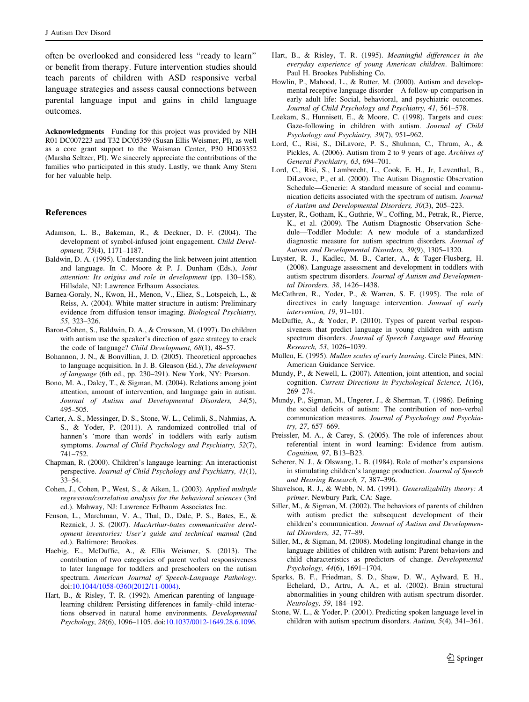<span id="page-8-0"></span>often be overlooked and considered less ''ready to learn'' or benefit from therapy. Future intervention studies should teach parents of children with ASD responsive verbal language strategies and assess causal connections between parental language input and gains in child language outcomes.

Acknowledgments Funding for this project was provided by NIH R01 DC007223 and T32 DC05359 (Susan Ellis Weismer, PI), as well as a core grant support to the Waisman Center, P30 HD03352 (Marsha Seltzer, PI). We sincerely appreciate the contributions of the families who participated in this study. Lastly, we thank Amy Stern for her valuable help.

### References

- Adamson, L. B., Bakeman, R., & Deckner, D. F. (2004). The development of symbol-infused joint engagement. Child Development, 75(4), 1171–1187.
- Baldwin, D. A. (1995). Understanding the link between joint attention and language. In C. Moore & P. J. Dunham (Eds.), Joint attention: Its origins and role in development (pp. 130–158). Hillsdale, NJ: Lawrence Erlbaum Associates.
- Barnea-Goraly, N., Kwon, H., Menon, V., Eliez, S., Lotspeich, L., & Reiss, A. (2004). White matter structure in autism: Preliminary evidence from diffusion tensor imaging. Biological Psychiatry, 55, 323–326.
- Baron-Cohen, S., Baldwin, D. A., & Crowson, M. (1997). Do children with autism use the speaker's direction of gaze strategy to crack the code of language? Child Development, 68(1), 48–57.
- Bohannon, J. N., & Bonvillian, J. D. (2005). Theoretical approaches to language acquisition. In J. B. Gleason (Ed.), The development of language (6th ed., pp. 230–291). New York, NY: Pearson.
- Bono, M. A., Daley, T., & Sigman, M. (2004). Relations among joint attention, amount of intervention, and language gain in autism. Journal of Autism and Developmental Disorders, 34(5), 495–505.
- Carter, A. S., Messinger, D. S., Stone, W. L., Celimli, S., Nahmias, A. S., & Yoder, P. (2011). A randomized controlled trial of hannen's 'more than words' in toddlers with early autism symptoms. Journal of Child Psychology and Psychiatry, 52(7), 741–752.
- Chapman, R. (2000). Children's langauge learning: An interactionist perspective. Journal of Child Psychology and Psychiatry, 41(1), 33–54.
- Cohen, J., Cohen, P., West, S., & Aiken, L. (2003). Applied multiple regression/correlation analysis for the behavioral sciences (3rd ed.). Mahway, NJ: Lawrence Erlbaum Associates Inc.
- Fenson, L., Marchman, V. A., Thal, D., Dale, P. S., Bates, E., & Reznick, J. S. (2007). MacArthur-bates communicative development inventories: User's guide and technical manual (2nd ed.). Baltimore: Brookes.
- Haebig, E., McDuffie, A., & Ellis Weismer, S. (2013). The contribution of two categories of parent verbal responsiveness to later language for toddlers and preschoolers on the autism spectrum. American Journal of Speech-Language Pathology. doi[:10.1044/1058-0360\(2012/11-0004\)](http://dx.doi.org/10.1044/1058-0360(2012/11-0004)).
- Hart, B., & Risley, T. R. (1992). American parenting of languagelearning children: Persisting differences in family–child interactions observed in natural home environments. Developmental Psychology, 28(6), 1096–1105. doi:[10.1037/0012-1649.28.6.1096](http://dx.doi.org/10.1037/0012-1649.28.6.1096).
- Hart, B., & Risley, T. R. (1995). Meaningful differences in the everyday experience of young American children. Baltimore: Paul H. Brookes Publishing Co.
- Howlin, P., Mahood, L., & Rutter, M. (2000). Autism and developmental receptive language disorder—A follow-up comparison in early adult life: Social, behavioral, and psychiatric outcomes. Journal of Child Psychology and Psychiatry, 41, 561–578.
- Leekam, S., Hunnisett, E., & Moore, C. (1998). Targets and cues: Gaze-following in children with autism. Journal of Child Psychology and Psychiatry, 39(7), 951–962.
- Lord, C., Risi, S., DiLavore, P. S., Shulman, C., Thrum, A., & Pickles, A. (2006). Autism from 2 to 9 years of age. Archives of General Psychiatry, 63, 694–701.
- Lord, C., Risi, S., Lambrecht, L., Cook, E. H., Jr, Leventhal, B., DiLavore, P., et al. (2000). The Autism Diagnostic Observation Schedule—Generic: A standard measure of social and communication deficits associated with the spectrum of autism. Journal of Autism and Developmental Disorders, 30(3), 205–223.
- Luyster, R., Gotham, K., Guthrie, W., Coffing, M., Petrak, R., Pierce, K., et al. (2009). The Autism Diagnostic Observation Schedule—Toddler Module: A new module of a standardized diagnostic measure for autism spectrum disorders. Journal of Autism and Developmental Disorders, 39(9), 1305–1320.
- Luyster, R. J., Kadlec, M. B., Carter, A., & Tager-Flusberg, H. (2008). Language assessment and development in toddlers with autism spectrum disorders. Journal of Autism and Developmental Disorders, 38, 1426–1438.
- McCathren, R., Yoder, P., & Warren, S. F. (1995). The role of directives in early language intervention. Journal of early intervention, 19, 91–101.
- McDuffie, A., & Yoder, P. (2010). Types of parent verbal responsiveness that predict language in young children with autism spectrum disorders. Journal of Speech Language and Hearing Research, 53, 1026–1039.
- Mullen, E. (1995). Mullen scales of early learning. Circle Pines, MN: American Guidance Service.
- Mundy, P., & Newell, L. (2007). Attention, joint attention, and social cognition. Current Directions in Psychological Science, 1(16), 269–274.
- Mundy, P., Sigman, M., Ungerer, J., & Sherman, T. (1986). Defining the social deficits of autism: The contribution of non-verbal communication measures. Journal of Psychology and Psychiatry, 27, 657–669.
- Preissler, M. A., & Carey, S. (2005). The role of inferences about referential intent in word learning: Evidence from autism. Cognition, 97, B13–B23.
- Scherer, N. J., & Olswang, L. B. (1984). Role of mother's expansions in stimulating children's language production. Journal of Speech and Hearing Research, 7, 387–396.
- Shavelson, R. J., & Webb, N. M. (1991). Generalizability theory: A primer. Newbury Park, CA: Sage.
- Siller, M., & Sigman, M. (2002). The behaviors of parents of children with autism predict the subsequent development of their children's communication. Journal of Autism and Developmental Disorders, 32, 77–89.
- Siller, M., & Sigman, M. (2008). Modeling longitudinal change in the language abilities of children with autism: Parent behaviors and child characteristics as predictors of change. Developmental Psychology, 44(6), 1691–1704.
- Sparks, B. F., Friedman, S. D., Shaw, D. W., Aylward, E. H., Echelard, D., Artru, A. A., et al. (2002). Brain structural abnormalities in young children with autism spectrum disorder. Neurology, 59, 184–192.
- Stone, W. L., & Yoder, P. (2001). Predicting spoken language level in children with autism spectrum disorders. Autism, 5(4), 341–361.